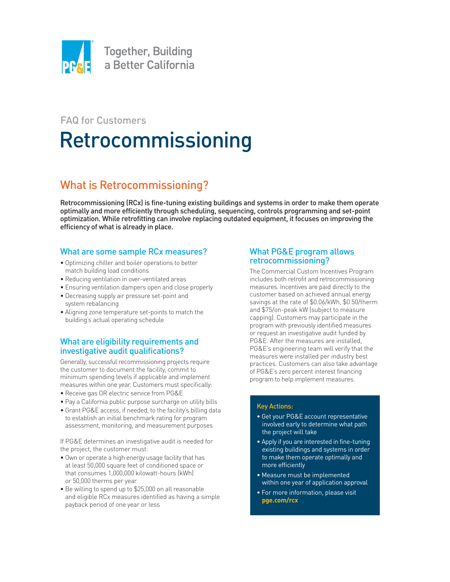

# FAQ for Customers Retrocommissioning

## What is Retrocommissioning?

Retrocommissioning (RCx) is fine-tuning existing buildings and systems in order to make them operate optimally and more efficiently through scheduling, sequencing, controls programming and set-point optimization. While retrofitting can involve replacing outdated equipment, it focuses on improving the efficiency of what is already in place.

#### What are some sample RCx measures?

- Optimizing chiller and boiler operations to better match building load conditions
- Reducing ventilation in over-ventilated areas
- Ensuring ventilation dampers open and close properly
- Decreasing supply air pressure set-point and system rebalancing
- Aligning zone temperature set-points to match the building's actual operating schedule

#### What are eligibility requirements and investigative audit qualifications?

Generally, successful recommissioning projects require the customer to document the facility, commit to minimum spending levels if applicable and implement measures within one year. Customers must specifically:

- Receive gas OR electric service from PG&E
- Pay a California public purpose surcharge on utility bills
- Grant PG&E access, if needed, to the facility's billing data to establish an initial benchmark rating for program assessment, monitoring, and measurement purposes

If PG&E determines an investigative audit is needed for the project, the customer must:

- Own or operate a high energy usage facility that has at least 50,000 square feet of conditioned space or that consumes 1,000,000 kilowatt-hours (kWh) or 50,000 therms per year
- Be willing to spend up to \$25,000 on all reasonable and eligible RCx measures identified as having a simple payback period of one year or less

#### What PG&E program allows retrocommissioning?

The Commercial Custom Incentives Program includes both retrofit and retrocommissioning measures. Incentives are paid directly to the customer based on achieved annual energy savings at the rate of \$0.06/kWh, \$0.50/therm and \$75/on-peak kW (subject to measure capping). Customers may participate in the program with previously identified measures or request an investigative audit funded by PG&E. After the measures are installed, PG&E's engineering team will verify that the measures were installed per industry best practices. Customers can also take advantage of PG&E's zero percent interest financing program to help implement measures.

#### Key Actions:

- Get your PG&E account representative involved early to determine what path the project will take
- Apply if you are interested in fine-tuning existing buildings and systems in order to make them operate optimally and more efficiently
- Measure must be implemented within one year of application approval
- For more information, please visit **[pge.com/rcx](www.pge.com/rcx)**